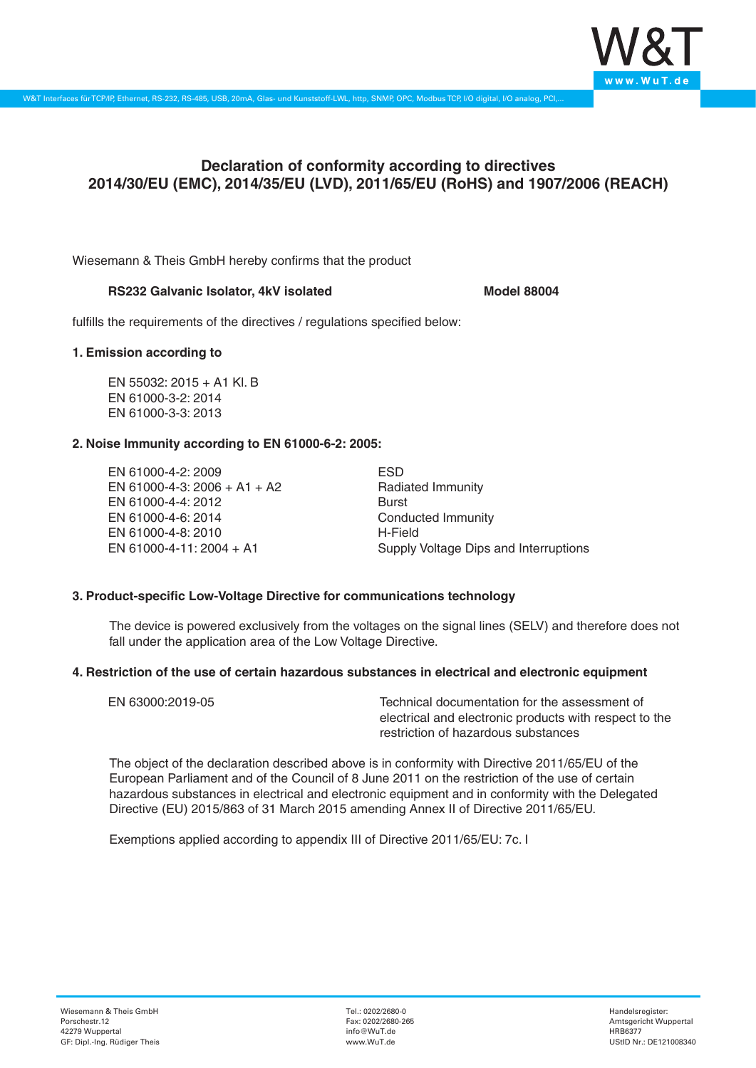

# **Declaration of conformity according to directives 2014/30/EU (EMC), 2014/35/EU (LVD), 2011/65/EU (RoHS) and 1907/2006 (REACH)**

Wiesemann & Theis GmbH hereby confirms that the product

### RS232 Galvanic Isolator, 4kV isolated **Model 88004**

fulfills the requirements of the directives / regulations specified below:

### **1. Emission according to**

EN 55032: 2015 + A1 Kl. B EN 61000-3-2: 2014 EN 61000-3-3: 2013

# **2. Noise Immunity according to EN 61000-6-2: 2005:**

EN 61000-4-2: 2009 EN 61000-4-3: 2006 + A1 + A2 EN 61000-4-4: 2012 EN 61000-4-6: 2014 EN 61000-4-8: 2010 EN 61000-4-11: 2004 + A1

ESD Radiated Immunity Burst Conducted Immunity H-Field Supply Voltage Dips and Interruptions

# **3. Product-specific Low-Voltage Directive for communications technology**

The device is powered exclusively from the voltages on the signal lines (SELV) and therefore does not fall under the application area of the Low Voltage Directive.

# **4. Restriction of the use of certain hazardous substances in electrical and electronic equipment**

| EN 63000:2019-05 | Technical documentation for the assessment of          |
|------------------|--------------------------------------------------------|
|                  | electrical and electronic products with respect to the |
|                  | restriction of hazardous substances                    |

The object of the declaration described above is in conformity with Directive 2011/65/EU of the European Parliament and of the Council of 8 June 2011 on the restriction of the use of certain hazardous substances in electrical and electronic equipment and in conformity with the Delegated Directive (EU) 2015/863 of 31 March 2015 amending Annex II of Directive 2011/65/EU.

Exemptions applied according to appendix III of Directive 2011/65/EU: 7c. I